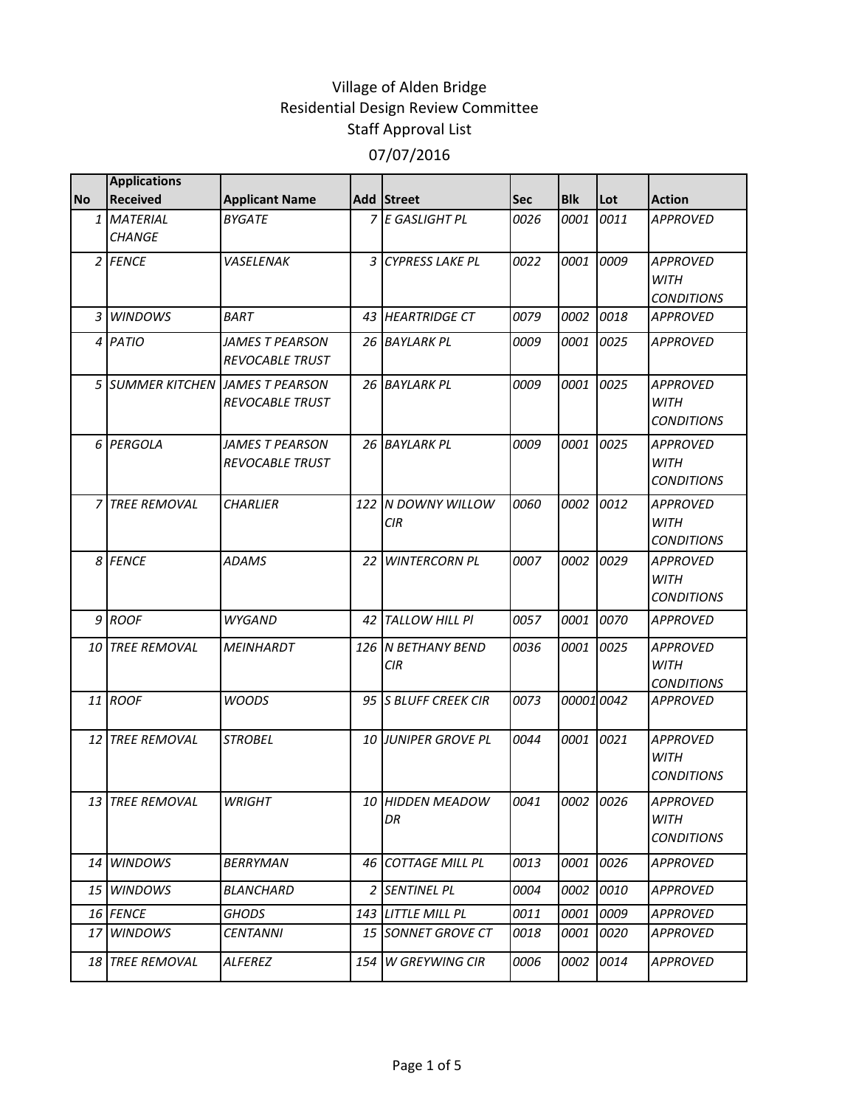| <b>No</b>      | <b>Applications</b><br><b>Received</b> | <b>Applicant Name</b>                     |                | Add Street                       | <b>Sec</b> | <b>Blk</b>  | Lot  | <b>Action</b>                                       |
|----------------|----------------------------------------|-------------------------------------------|----------------|----------------------------------|------------|-------------|------|-----------------------------------------------------|
|                | 1 MATERIAL<br><b>CHANGE</b>            | <b>BYGATE</b>                             |                | 7 E GASLIGHT PL                  | 0026       | 0001        | 0011 | <b>APPROVED</b>                                     |
|                | 2 FENCE                                | VASELENAK                                 | $\overline{3}$ | <b>CYPRESS LAKE PL</b>           | 0022       | 0001        | 0009 | <b>APPROVED</b><br><b>WITH</b><br><b>CONDITIONS</b> |
| $\mathfrak{Z}$ | <b>WINDOWS</b>                         | <b>BART</b>                               |                | 43 HEARTRIDGE CT                 | 0079       | 0002        | 0018 | <b>APPROVED</b>                                     |
|                | 4 PATIO                                | JAMES T PEARSON<br><b>REVOCABLE TRUST</b> |                | 26 BAYLARK PL                    | 0009       | <i>0001</i> | 0025 | <b>APPROVED</b>                                     |
|                | 5 SUMMER KITCHEN JAMES T PEARSON       | <b>REVOCABLE TRUST</b>                    |                | 26 BAYLARK PL                    | 0009       | 0001        | 0025 | <b>APPROVED</b><br><b>WITH</b><br><b>CONDITIONS</b> |
|                | 6 PERGOLA                              | JAMES T PEARSON<br><b>REVOCABLE TRUST</b> |                | 26 BAYLARK PL                    | 0009       | 0001        | 0025 | <b>APPROVED</b><br>WITH<br><b>CONDITIONS</b>        |
| $\overline{z}$ | <b>TREE REMOVAL</b>                    | <b>CHARLIER</b>                           | 122            | N DOWNY WILLOW<br>CIR            | 0060       | 0002        | 0012 | <b>APPROVED</b><br>WITH<br><b>CONDITIONS</b>        |
|                | 8 FENCE                                | <b>ADAMS</b>                              |                | 22 WINTERCORN PL                 | 0007       | 0002        | 0029 | <b>APPROVED</b><br>WITH<br><b>CONDITIONS</b>        |
|                | 9 ROOF                                 | <b>WYGAND</b>                             |                | 42 TALLOW HILL PI                | 0057       | 0001        | 0070 | <b>APPROVED</b>                                     |
|                | 10 TREE REMOVAL                        | <b>MEINHARDT</b>                          |                | 126 N BETHANY BEND<br><b>CIR</b> | 0036       | 0001        | 0025 | <b>APPROVED</b><br>WITH<br><b>CONDITIONS</b>        |
|                | 11 ROOF                                | <b>WOODS</b>                              |                | 95 S BLUFF CREEK CIR             | 0073       | 000010042   |      | <b>APPROVED</b>                                     |
|                | 12 TREE REMOVAL                        | <b>STROBEL</b>                            |                | 10 JUNIPER GROVE PL              | 0044       | 0001        | 0021 | <b>APPROVED</b><br>WITH<br><b>CONDITIONS</b>        |
|                | 13 TREE REMOVAL                        | <b>WRIGHT</b>                             | 10             | <b>HIDDEN MEADOW</b><br>DR       | 0041       | 0002 10026  |      | <b>APPROVED</b><br>WITH<br><b>CONDITIONS</b>        |
|                | 14 WINDOWS                             | <b>BERRYMAN</b>                           | 46             | <b>COTTAGE MILL PL</b>           | 0013       | 0001        | 0026 | <b>APPROVED</b>                                     |
|                | 15 WINDOWS                             | BLANCHARD                                 |                | 2 SENTINEL PL                    | 0004       | 0002        | 0010 | APPROVED                                            |
|                | 16 FENCE                               | <b>GHODS</b>                              |                | 143 LITTLE MILL PL               | 0011       | 0001        | 0009 | <b>APPROVED</b>                                     |
| 17             | <b>WINDOWS</b>                         | <b>CENTANNI</b>                           |                | 15 SONNET GROVE CT               | 0018       | 0001        | 0020 | APPROVED                                            |
| 18             | <b>TREE REMOVAL</b>                    | <b>ALFEREZ</b>                            | 154            | <b>W GREYWING CIR</b>            | 0006       | 0002        | 0014 | <b>APPROVED</b>                                     |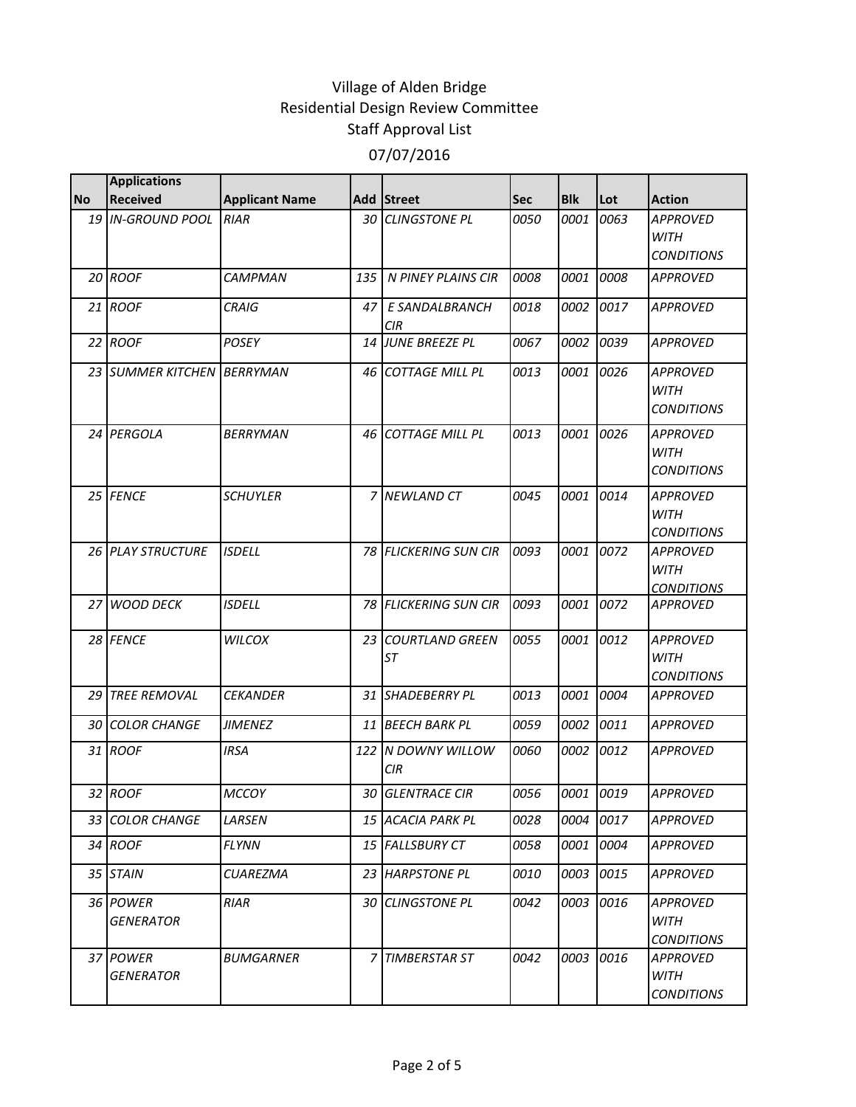|           | <b>Applications</b>          |                       |     |                                  |             |            |      |                                                     |
|-----------|------------------------------|-----------------------|-----|----------------------------------|-------------|------------|------|-----------------------------------------------------|
| <b>No</b> | <b>Received</b>              | <b>Applicant Name</b> |     | Add Street                       | <b>Sec</b>  | <b>Blk</b> | Lot  | <b>Action</b>                                       |
|           | 19 IN-GROUND POOL            | <b>RIAR</b>           | 30  | <b>CLINGSTONE PL</b>             | 0050        | 0001       | 0063 | <b>APPROVED</b><br>WITH<br><b>CONDITIONS</b>        |
|           | 20 ROOF                      | <b>CAMPMAN</b>        | 135 | N PINEY PLAINS CIR               | 0008        | 0001       | 0008 | <b>APPROVED</b>                                     |
|           | 21 ROOF                      | <b>CRAIG</b>          | 47  | E SANDALBRANCH<br>CIR            | 0018        | 0002       | 0017 | <b>APPROVED</b>                                     |
|           | 22 ROOF                      | <b>POSEY</b>          |     | 14 JUNE BREEZE PL                | 0067        | 0002       | 0039 | <b>APPROVED</b>                                     |
|           | 23 SUMMER KITCHEN BERRYMAN   |                       | 46  | <b>COTTAGE MILL PL</b>           | 0013        | 0001       | 0026 | <b>APPROVED</b><br><b>WITH</b><br><b>CONDITIONS</b> |
|           | 24 PERGOLA                   | <b>BERRYMAN</b>       |     | 46 COTTAGE MILL PL               | 0013        | 0001       | 0026 | <b>APPROVED</b><br>WITH<br><b>CONDITIONS</b>        |
|           | 25 FENCE                     | <b>SCHUYLER</b>       |     | 7 NEWLAND CT                     | 0045        | 0001       | 0014 | <b>APPROVED</b><br><b>WITH</b><br><b>CONDITIONS</b> |
|           | 26 PLAY STRUCTURE            | <b>ISDELL</b>         |     | 78 FLICKERING SUN CIR            | 0093        | 0001       | 0072 | <b>APPROVED</b><br><b>WITH</b><br><b>CONDITIONS</b> |
|           | 27 WOOD DECK                 | <b>ISDELL</b>         |     | 78 FLICKERING SUN CIR            | 0093        | 0001       | 0072 | <b>APPROVED</b>                                     |
|           | 28 FENCE                     | <b>WILCOX</b>         | 23  | <b>COURTLAND GREEN</b><br>ST     | 0055        | 0001       | 0012 | <b>APPROVED</b><br>WITH<br><b>CONDITIONS</b>        |
| 29        | <b>TREE REMOVAL</b>          | <b>CEKANDER</b>       |     | 31 SHADEBERRY PL                 | 0013        | 0001       | 0004 | <b>APPROVED</b>                                     |
| 30        | <b>COLOR CHANGE</b>          | <b>JIMENEZ</b>        |     | 11 BEECH BARK PL                 | 0059        | 0002       | 0011 | <b>APPROVED</b>                                     |
|           | 31 ROOF                      | <b>IRSA</b>           |     | 122 N DOWNY WILLOW<br><b>CIR</b> | 0060        | 0002       | 0012 | <b>APPROVED</b>                                     |
|           | 32 ROOF                      | <b>MCCOY</b>          | 30  | <b>GLENTRACE CIR</b>             | 0056        | 0001       | 0019 | <b>APPROVED</b>                                     |
|           | 33 COLOR CHANGE              | LARSEN                |     | 15 ACACIA PARK PL                | 0028        | 0004       | 0017 | <b>APPROVED</b>                                     |
|           | 34 ROOF                      | <b>FLYNN</b>          |     | 15 FALLSBURY CT                  | 0058        | 0001       | 0004 | <b>APPROVED</b>                                     |
|           | 35 STAIN                     | <b>CUAREZMA</b>       |     | 23 HARPSTONE PL                  | <i>0010</i> | 0003       | 0015 | APPROVED                                            |
|           | 36 POWER<br><b>GENERATOR</b> | <b>RIAR</b>           |     | 30 CLINGSTONE PL                 | 0042        | 0003       | 0016 | <b>APPROVED</b><br>WITH<br><b>CONDITIONS</b>        |
|           | 37 POWER<br><b>GENERATOR</b> | <b>BUMGARNER</b>      | 7   | <b>TIMBERSTAR ST</b>             | 0042        | 0003       | 0016 | APPROVED<br>WITH<br><b>CONDITIONS</b>               |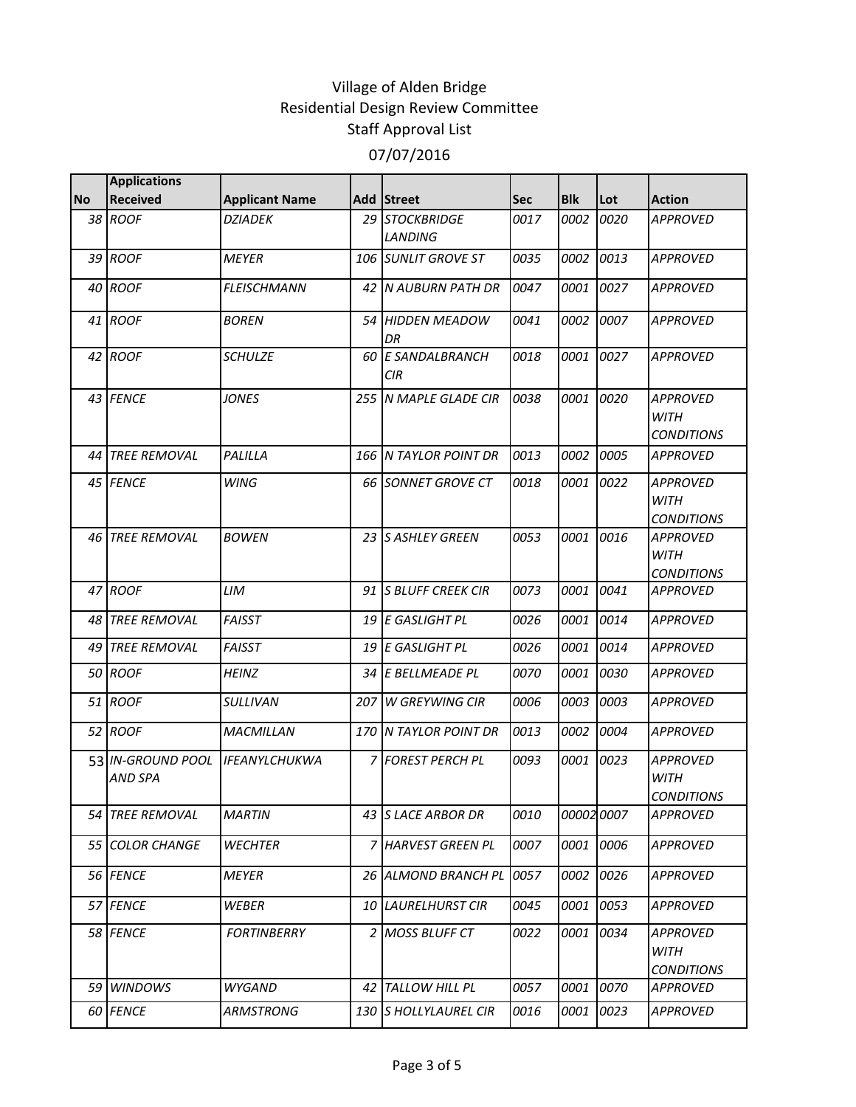|           | <b>Applications</b>                 |                       |                                  |            |            |           |                                                     |
|-----------|-------------------------------------|-----------------------|----------------------------------|------------|------------|-----------|-----------------------------------------------------|
| <b>No</b> | <b>Received</b>                     | <b>Applicant Name</b> | Add Street                       | <b>Sec</b> | <b>Blk</b> | Lot       | <b>Action</b>                                       |
|           | 38 ROOF                             | <b>DZIADEK</b>        | 29 STOCKBRIDGE<br><b>LANDING</b> | 0017       | 0002       | 0020      | <b>APPROVED</b>                                     |
|           | 39 ROOF                             | <b>MEYER</b>          | 106 SUNLIT GROVE ST              | 0035       | 0002       | 0013      | <b>APPROVED</b>                                     |
|           | 40 ROOF                             | <b>FLEISCHMANN</b>    | 42 N AUBURN PATH DR              | 0047       | 0001       | 0027      | <b>APPROVED</b>                                     |
|           | 41 ROOF                             | <b>BOREN</b>          | 54 HIDDEN MEADOW<br>DR           | 0041       | 0002       | 0007      | <b>APPROVED</b>                                     |
|           | 42 ROOF                             | <b>SCHULZE</b>        | 60 E SANDALBRANCH<br>CIR         | 0018       | 0001       | 0027      | <b>APPROVED</b>                                     |
|           | 43 FENCE                            | <b>JONES</b>          | 255 N MAPLE GLADE CIR            | 0038       | 0001       | 0020      | <b>APPROVED</b><br><b>WITH</b><br><b>CONDITIONS</b> |
|           | 44 TREE REMOVAL                     | PALILLA               | 166 N TAYLOR POINT DR            | 0013       | 0002       | 0005      | <b>APPROVED</b>                                     |
|           | 45 FENCE                            | <b>WING</b>           | 66 SONNET GROVE CT               | 0018       | 0001       | 0022      | <b>APPROVED</b><br><b>WITH</b><br><b>CONDITIONS</b> |
|           | 46 TREE REMOVAL                     | <b>BOWEN</b>          | 23 S ASHLEY GREEN                | 0053       | 0001       | 0016      | <b>APPROVED</b><br><b>WITH</b><br><b>CONDITIONS</b> |
|           | 47 ROOF                             | LIM                   | 91 S BLUFF CREEK CIR             | 0073       | 0001       | 0041      | <b>APPROVED</b>                                     |
|           | 48 TREE REMOVAL                     | <b>FAISST</b>         | 19 E GASLIGHT PL                 | 0026       | 0001       | 0014      | <b>APPROVED</b>                                     |
| 49        | <b>TREE REMOVAL</b>                 | <b>FAISST</b>         | 19 E GASLIGHT PL                 | 0026       | 0001       | 0014      | <b>APPROVED</b>                                     |
|           | 50 ROOF                             | <b>HEINZ</b>          | 34 E BELLMEADE PL                | 0070       | 0001       | 0030      | <b>APPROVED</b>                                     |
|           | 51 ROOF                             | <b>SULLIVAN</b>       | 207 W GREYWING CIR               | 0006       | 0003       | 0003      | <b>APPROVED</b>                                     |
|           | 52 ROOF                             | MACMILLAN             | 170 N TAYLOR POINT DR            | 0013       | 0002       | 0004      | <b>APPROVED</b>                                     |
|           | 53 IN-GROUND POOL<br><b>AND SPA</b> | <b>IFEANYLCHUKWA</b>  | 7 FOREST PERCH PL                | 0093       | 0001       | 0023      | <b>APPROVED</b><br><b>WITH</b><br><b>CONDITIONS</b> |
|           | 54 TREE REMOVAL                     | <b>MARTIN</b>         | 43 S LACE ARBOR DR               | 0010       |            | 000020007 | <b>APPROVED</b>                                     |
|           | 55 COLOR CHANGE                     | <b>WECHTER</b>        | 7 HARVEST GREEN PL               | 0007       | 0001       | 0006      | <b>APPROVED</b>                                     |
|           | 56 FENCE                            | <b>MEYER</b>          | 26 ALMOND BRANCH PL              | 0057       | 0002       | 0026      | <b>APPROVED</b>                                     |
|           | 57 FENCE                            | WEBER                 | 10 LAURELHURST CIR               | 0045       | 0001       | 0053      | <b>APPROVED</b>                                     |
|           | 58 FENCE                            | <b>FORTINBERRY</b>    | 2 MOSS BLUFF CT                  | 0022       | 0001       | 0034      | <b>APPROVED</b><br>WITH<br><b>CONDITIONS</b>        |
|           | 59 WINDOWS                          | WYGAND                | 42 TALLOW HILL PL                | 0057       | 0001       | 0070      | APPROVED                                            |
|           | 60 FENCE                            | <b>ARMSTRONG</b>      | 130 S HOLLYLAUREL CIR            | 0016       | 0001       | 0023      | <b>APPROVED</b>                                     |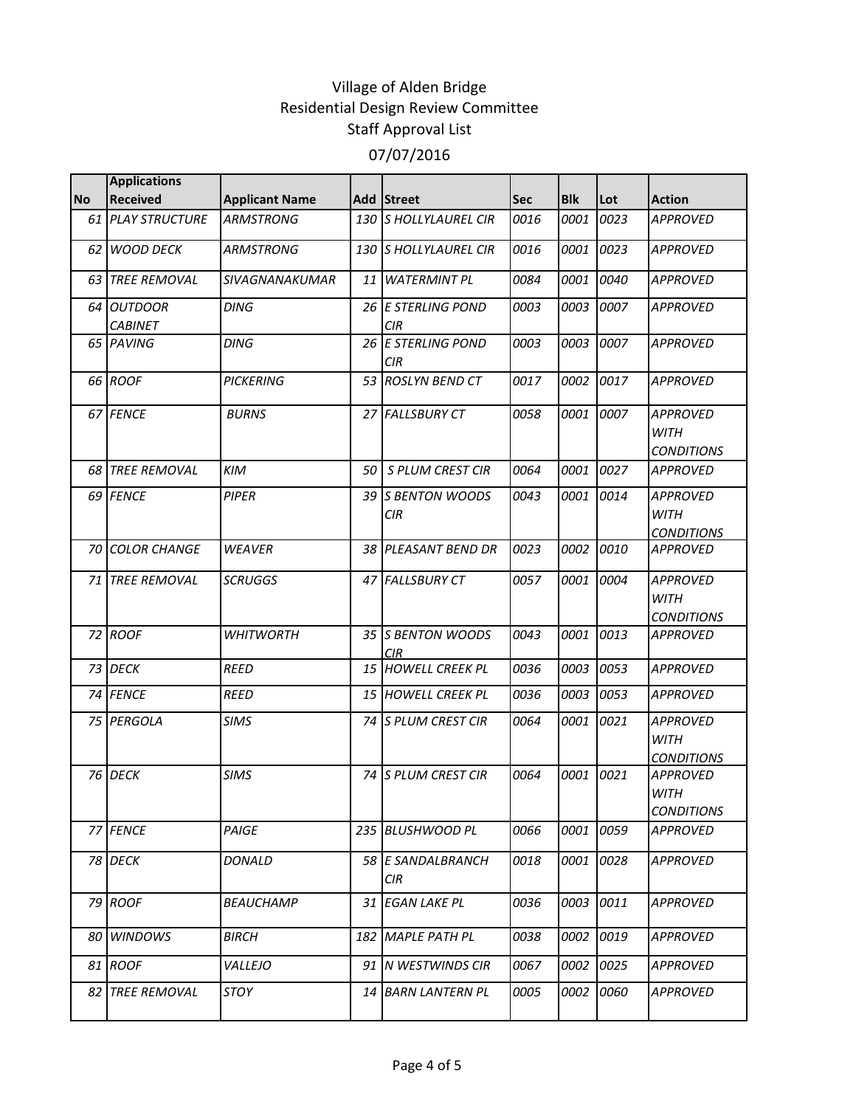|           | <b>Applications</b>              |                       |    |                                  |            |            |      |                                                     |
|-----------|----------------------------------|-----------------------|----|----------------------------------|------------|------------|------|-----------------------------------------------------|
| <b>No</b> | <b>Received</b>                  | <b>Applicant Name</b> |    | Add Street                       | <b>Sec</b> | <b>Blk</b> | Lot  | <b>Action</b>                                       |
|           | <b>61 PLAY STRUCTURE</b>         | <b>ARMSTRONG</b>      |    | 130 S HOLLYLAUREL CIR            | 0016       | 0001       | 0023 | <b>APPROVED</b>                                     |
| 62        | <b>WOOD DECK</b>                 | <b>ARMSTRONG</b>      |    | 130 S HOLLYLAUREL CIR            | 0016       | 0001       | 0023 | <b>APPROVED</b>                                     |
| 63        | <b>TREE REMOVAL</b>              | <b>SIVAGNANAKUMAR</b> | 11 | <b>WATERMINT PL</b>              | 0084       | 0001       | 0040 | <b>APPROVED</b>                                     |
| 64        | <b>OUTDOOR</b><br><b>CABINET</b> | <b>DING</b>           |    | 26 E STERLING POND<br>CIR        | 0003       | 0003       | 0007 | <b>APPROVED</b>                                     |
|           | 65 PAVING                        | <b>DING</b>           |    | 26 E STERLING POND<br><b>CIR</b> | 0003       | 0003       | 0007 | <b>APPROVED</b>                                     |
|           | 66 ROOF                          | <b>PICKERING</b>      |    | 53 ROSLYN BEND CT                | 0017       | 0002       | 0017 | <b>APPROVED</b>                                     |
|           | 67 FENCE                         | <b>BURNS</b>          |    | 27 FALLSBURY CT                  | 0058       | 0001       | 0007 | <b>APPROVED</b><br><b>WITH</b><br><b>CONDITIONS</b> |
|           | 68 TREE REMOVAL                  | <b>KIM</b>            | 50 | S PLUM CREST CIR                 | 0064       | 0001       | 0027 | <b>APPROVED</b>                                     |
|           | 69 FENCE                         | <b>PIPER</b>          |    | 39 S BENTON WOODS<br><b>CIR</b>  | 0043       | 0001       | 0014 | <b>APPROVED</b><br><b>WITH</b><br><b>CONDITIONS</b> |
| 70        | <b>COLOR CHANGE</b>              | <b>WEAVER</b>         | 38 | PLEASANT BEND DR                 | 0023       | 0002       | 0010 | <b>APPROVED</b>                                     |
|           | 71 TREE REMOVAL                  | <b>SCRUGGS</b>        |    | 47 FALLSBURY CT                  | 0057       | 0001       | 0004 | <b>APPROVED</b><br><b>WITH</b><br><b>CONDITIONS</b> |
|           | 72 ROOF                          | <b>WHITWORTH</b>      |    | 35 S BENTON WOODS<br>CIR         | 0043       | 0001       | 0013 | <b>APPROVED</b>                                     |
|           | 73 DECK                          | <b>REED</b>           |    | 15 HOWELL CREEK PL               | 0036       | 0003       | 0053 | <b>APPROVED</b>                                     |
|           | 74 FENCE                         | <b>REED</b>           |    | 15 HOWELL CREEK PL               | 0036       | 0003       | 0053 | <b>APPROVED</b>                                     |
|           | 75 PERGOLA                       | <b>SIMS</b>           |    | 74 S PLUM CREST CIR              | 0064       | 0001       | 0021 | <b>APPROVED</b><br><b>WITH</b><br><b>CONDITIONS</b> |
|           | 76 DECK                          | <b>SIMS</b>           |    | 74 S PLUM CREST CIR              | 0064       | 0001       | 0021 | <b>APPROVED</b><br><b>WITH</b><br><b>CONDITIONS</b> |
|           | 77 FENCE                         | PAIGE                 |    | 235 BLUSHWOOD PL                 | 0066       | 0001       | 0059 | <b>APPROVED</b>                                     |
|           | 78 DECK                          | <b>DONALD</b>         |    | 58 E SANDALBRANCH<br>CIR.        | 0018       | 0001       | 0028 | <b>APPROVED</b>                                     |
|           | 79 ROOF                          | <b>BEAUCHAMP</b>      |    | 31 EGAN LAKE PL                  | 0036       | 0003       | 0011 | <b>APPROVED</b>                                     |
| 80        | <b>WINDOWS</b>                   | <b>BIRCH</b>          |    | 182 MAPLE PATH PL                | 0038       | 0002       | 0019 | <b>APPROVED</b>                                     |
|           | 81 ROOF                          | VALLEJO               |    | 91 N WESTWINDS CIR               | 0067       | 0002       | 0025 | <b>APPROVED</b>                                     |
| 82        | <b>TREE REMOVAL</b>              | <b>STOY</b>           | 14 | <b>BARN LANTERN PL</b>           | 0005       | 0002       | 0060 | APPROVED                                            |